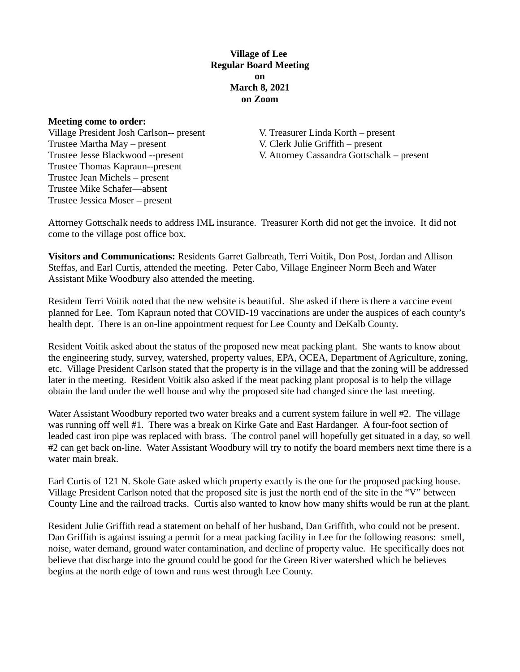## **Village of Lee Regular Board Meeting on March 8, 2021 on Zoom**

#### **Meeting come to order:**

Village President Josh Carlson-- present V. Treasurer Linda Korth – present Trustee Martha May – present V. Clerk Julie Griffith – present Trustee Thomas Kapraun--present Trustee Jean Michels – present Trustee Mike Schafer—absent Trustee Jessica Moser – present

Trustee Jesse Blackwood --present V. Attorney Cassandra Gottschalk – present

Attorney Gottschalk needs to address IML insurance. Treasurer Korth did not get the invoice. It did not come to the village post office box.

**Visitors and Communications:** Residents Garret Galbreath, Terri Voitik, Don Post, Jordan and Allison Steffas, and Earl Curtis, attended the meeting. Peter Cabo, Village Engineer Norm Beeh and Water Assistant Mike Woodbury also attended the meeting.

Resident Terri Voitik noted that the new website is beautiful. She asked if there is there a vaccine event planned for Lee. Tom Kapraun noted that COVID-19 vaccinations are under the auspices of each county's health dept. There is an on-line appointment request for Lee County and DeKalb County.

Resident Voitik asked about the status of the proposed new meat packing plant. She wants to know about the engineering study, survey, watershed, property values, EPA, OCEA, Department of Agriculture, zoning, etc. Village President Carlson stated that the property is in the village and that the zoning will be addressed later in the meeting. Resident Voitik also asked if the meat packing plant proposal is to help the village obtain the land under the well house and why the proposed site had changed since the last meeting.

Water Assistant Woodbury reported two water breaks and a current system failure in well #2. The village was running off well #1. There was a break on Kirke Gate and East Hardanger. A four-foot section of leaded cast iron pipe was replaced with brass. The control panel will hopefully get situated in a day, so well #2 can get back on-line. Water Assistant Woodbury will try to notify the board members next time there is a water main break.

Earl Curtis of 121 N. Skole Gate asked which property exactly is the one for the proposed packing house. Village President Carlson noted that the proposed site is just the north end of the site in the "V" between County Line and the railroad tracks. Curtis also wanted to know how many shifts would be run at the plant.

Resident Julie Griffith read a statement on behalf of her husband, Dan Griffith, who could not be present. Dan Griffith is against issuing a permit for a meat packing facility in Lee for the following reasons: smell, noise, water demand, ground water contamination, and decline of property value. He specifically does not believe that discharge into the ground could be good for the Green River watershed which he believes begins at the north edge of town and runs west through Lee County.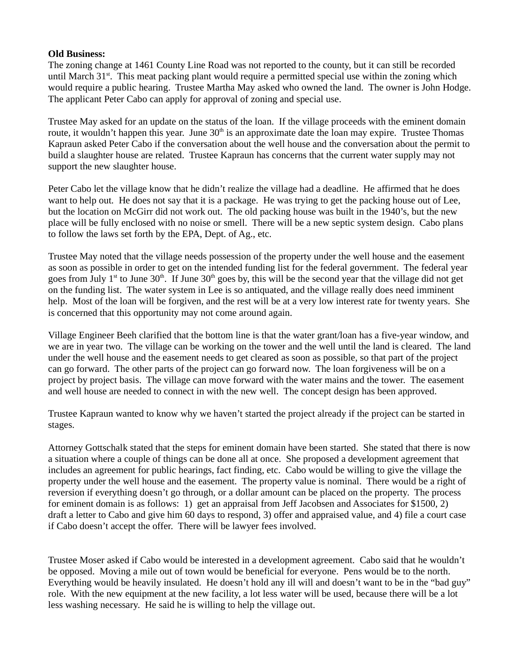### **Old Business:**

The zoning change at 1461 County Line Road was not reported to the county, but it can still be recorded until March 31<sup>st</sup>. This meat packing plant would require a permitted special use within the zoning which would require a public hearing. Trustee Martha May asked who owned the land. The owner is John Hodge. The applicant Peter Cabo can apply for approval of zoning and special use.

Trustee May asked for an update on the status of the loan. If the village proceeds with the eminent domain route, it wouldn't happen this year. June  $30<sup>th</sup>$  is an approximate date the loan may expire. Trustee Thomas Kapraun asked Peter Cabo if the conversation about the well house and the conversation about the permit to build a slaughter house are related. Trustee Kapraun has concerns that the current water supply may not support the new slaughter house.

Peter Cabo let the village know that he didn't realize the village had a deadline. He affirmed that he does want to help out. He does not say that it is a package. He was trying to get the packing house out of Lee, but the location on McGirr did not work out. The old packing house was built in the 1940's, but the new place will be fully enclosed with no noise or smell. There will be a new septic system design. Cabo plans to follow the laws set forth by the EPA, Dept. of Ag., etc.

Trustee May noted that the village needs possession of the property under the well house and the easement as soon as possible in order to get on the intended funding list for the federal government. The federal year goes from July  $1^{st}$  to June  $30^{th}$ . If June  $30^{th}$  goes by, this will be the second year that the village did not get on the funding list. The water system in Lee is so antiquated, and the village really does need imminent help. Most of the loan will be forgiven, and the rest will be at a very low interest rate for twenty years. She is concerned that this opportunity may not come around again.

Village Engineer Beeh clarified that the bottom line is that the water grant/loan has a five-year window, and we are in year two. The village can be working on the tower and the well until the land is cleared. The land under the well house and the easement needs to get cleared as soon as possible, so that part of the project can go forward. The other parts of the project can go forward now. The loan forgiveness will be on a project by project basis. The village can move forward with the water mains and the tower. The easement and well house are needed to connect in with the new well. The concept design has been approved.

Trustee Kapraun wanted to know why we haven't started the project already if the project can be started in stages.

Attorney Gottschalk stated that the steps for eminent domain have been started. She stated that there is now a situation where a couple of things can be done all at once. She proposed a development agreement that includes an agreement for public hearings, fact finding, etc. Cabo would be willing to give the village the property under the well house and the easement. The property value is nominal. There would be a right of reversion if everything doesn't go through, or a dollar amount can be placed on the property. The process for eminent domain is as follows: 1) get an appraisal from Jeff Jacobsen and Associates for \$1500, 2) draft a letter to Cabo and give him 60 days to respond, 3) offer and appraised value, and 4) file a court case if Cabo doesn't accept the offer. There will be lawyer fees involved.

Trustee Moser asked if Cabo would be interested in a development agreement. Cabo said that he wouldn't be opposed. Moving a mile out of town would be beneficial for everyone. Pens would be to the north. Everything would be heavily insulated. He doesn't hold any ill will and doesn't want to be in the "bad guy" role. With the new equipment at the new facility, a lot less water will be used, because there will be a lot less washing necessary. He said he is willing to help the village out.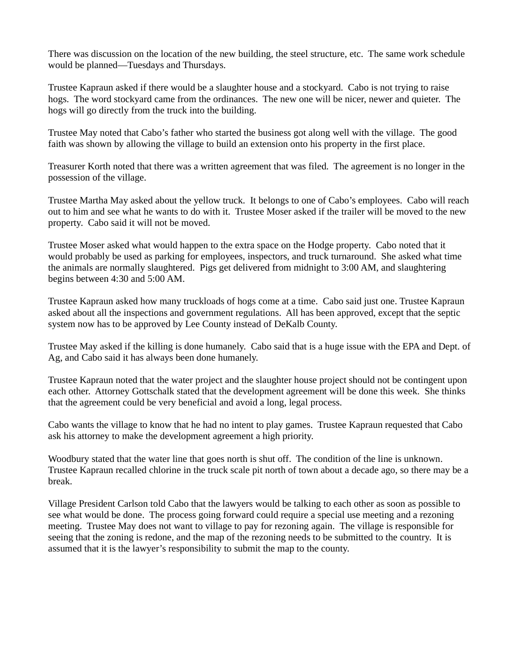There was discussion on the location of the new building, the steel structure, etc. The same work schedule would be planned—Tuesdays and Thursdays.

Trustee Kapraun asked if there would be a slaughter house and a stockyard. Cabo is not trying to raise hogs. The word stockyard came from the ordinances. The new one will be nicer, newer and quieter. The hogs will go directly from the truck into the building.

Trustee May noted that Cabo's father who started the business got along well with the village. The good faith was shown by allowing the village to build an extension onto his property in the first place.

Treasurer Korth noted that there was a written agreement that was filed. The agreement is no longer in the possession of the village.

Trustee Martha May asked about the yellow truck. It belongs to one of Cabo's employees. Cabo will reach out to him and see what he wants to do with it. Trustee Moser asked if the trailer will be moved to the new property. Cabo said it will not be moved.

Trustee Moser asked what would happen to the extra space on the Hodge property. Cabo noted that it would probably be used as parking for employees, inspectors, and truck turnaround. She asked what time the animals are normally slaughtered. Pigs get delivered from midnight to 3:00 AM, and slaughtering begins between 4:30 and 5:00 AM.

Trustee Kapraun asked how many truckloads of hogs come at a time. Cabo said just one. Trustee Kapraun asked about all the inspections and government regulations. All has been approved, except that the septic system now has to be approved by Lee County instead of DeKalb County.

Trustee May asked if the killing is done humanely. Cabo said that is a huge issue with the EPA and Dept. of Ag, and Cabo said it has always been done humanely.

Trustee Kapraun noted that the water project and the slaughter house project should not be contingent upon each other. Attorney Gottschalk stated that the development agreement will be done this week. She thinks that the agreement could be very beneficial and avoid a long, legal process.

Cabo wants the village to know that he had no intent to play games. Trustee Kapraun requested that Cabo ask his attorney to make the development agreement a high priority.

Woodbury stated that the water line that goes north is shut off. The condition of the line is unknown. Trustee Kapraun recalled chlorine in the truck scale pit north of town about a decade ago, so there may be a break.

Village President Carlson told Cabo that the lawyers would be talking to each other as soon as possible to see what would be done. The process going forward could require a special use meeting and a rezoning meeting. Trustee May does not want to village to pay for rezoning again. The village is responsible for seeing that the zoning is redone, and the map of the rezoning needs to be submitted to the country. It is assumed that it is the lawyer's responsibility to submit the map to the county.